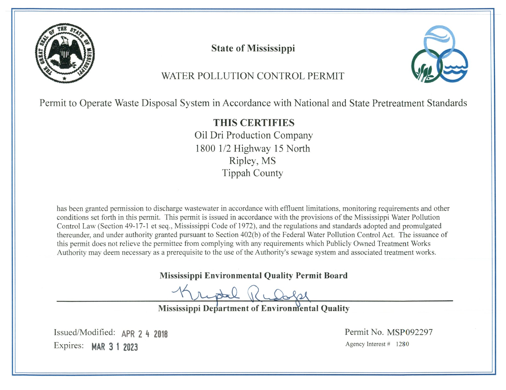

**State of Mississippi** 



# WATER POLLUTION CONTROL PERMIT

Permit to Operate Waste Disposal System in Accordance with National and State Pretreatment Standards

**THIS CERTIFIES** Oil Dri Production Company 1800 1/2 Highway 15 North Ripley, MS **Tippah County** 

has been granted permission to discharge wastewater in accordance with effluent limitations, monitoring requirements and other conditions set forth in this permit. This permit is issued in accordance with the provisions of the Mississippi Water Pollution Control Law (Section 49-17-1 et seq., Mississippi Code of 1972), and the regulations and standards adopted and promulgated thereunder, and under authority granted pursuant to Section 402(b) of the Federal Water Pollution Control Act. The issuance of this permit does not relieve the permittee from complying with any requirements which Publicly Owned Treatment Works Authority may deem necessary as a prerequisite to the use of the Authority's sewage system and associated treatment works.

**Mississippi Environmental Quality Permit Board** 

nudel

Mississippi Department of Environmental Quality

Issued/Modified: APR 2 4 2018 Expires: MAR 3 1 2023

Permit No. MSP092297 Agency Interest # 1280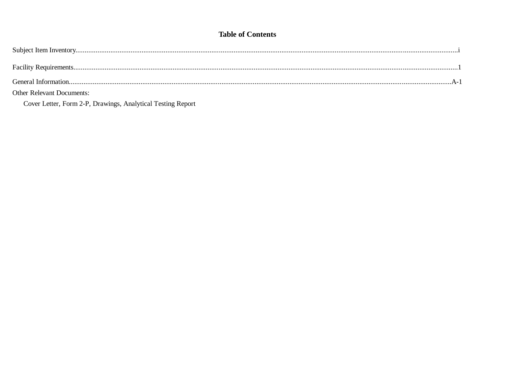# **Table of Contents**

| <b>Other Relevant Documents:</b> |  |
|----------------------------------|--|

Cover Letter, Form 2-P, Drawings, Analytical Testing Report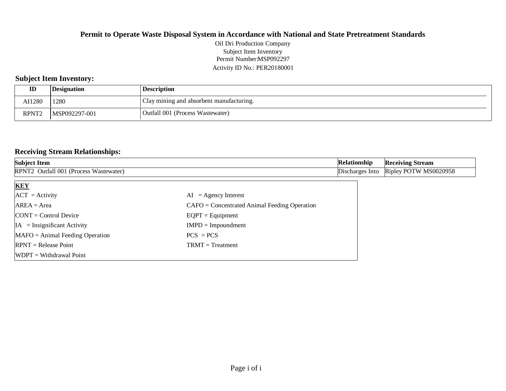Permit Number:MSP092297 Activity ID No.: PER20180001 Oil Dri Production Company Subject Item Inventory

## **Subject Item Inventory:**

| ID                | <i><b>Designation</b></i> | <b>Description</b>                       |
|-------------------|---------------------------|------------------------------------------|
| AI1280            | 1280                      | Clay mining and absorbent manufacturing. |
| RPNT <sub>2</sub> | MSP092297-001             | Outfall 001 (Process Wastewater)         |

#### **Receiving Stream Relationships:**

| <b>Subject Item</b>                    | Relationship                                   | <b>Receiving Stream</b> |                       |
|----------------------------------------|------------------------------------------------|-------------------------|-----------------------|
| RPNT2 Outfall 001 (Process Wastewater) |                                                | Discharges Into         | Ripley POTW MS0020958 |
| <b>KEY</b>                             |                                                |                         |                       |
| $ACT = Activity$                       | $AI = Agency Interest$                         |                         |                       |
| $AREA = Area$                          | $CAFO =$ Concentrated Animal Feeding Operation |                         |                       |
| $CONT = Control$ Device                | $EQPT = Equipment$                             |                         |                       |
| $IA = Insignificant Activity$          | $IMPD = Impoundment$                           |                         |                       |
| $MAFO = Animal Feeding Operation$      | $PCS = PCs$                                    |                         |                       |
| $RPNT = Release Point$                 | $TRMT = Treatment$                             |                         |                       |
| $WDPT = Without$                       |                                                |                         |                       |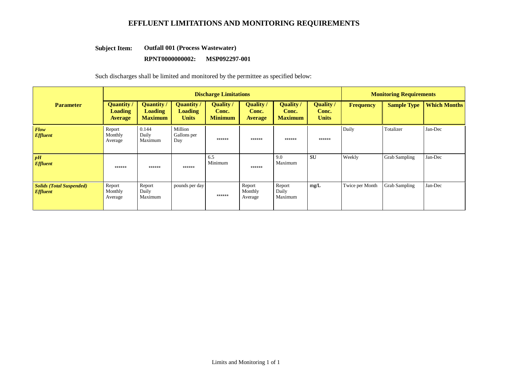## **EFFLUENT LIMITATIONS AND MONITORING REQUIREMENTS**

#### **Outfall 001 (Process Wastewater) Subject Item:**

#### **RPNT0000000002: MSP092297-001**

Such discharges shall be limited and monitored by the permittee as specified below:

|                                                           | <b>Discharge Limitations</b>                   |                                                |                                                     |                                           |                                             |                                      | <b>Monitoring Requirements</b>            |                 |                      |                     |
|-----------------------------------------------------------|------------------------------------------------|------------------------------------------------|-----------------------------------------------------|-------------------------------------------|---------------------------------------------|--------------------------------------|-------------------------------------------|-----------------|----------------------|---------------------|
| <b>Parameter</b>                                          | <b>Quantity</b> /<br>Loading<br><b>Average</b> | <b>Quantity</b> /<br>Loading<br><b>Maximum</b> | <b>Quantity</b> /<br><b>Loading</b><br><b>Units</b> | <b>Quality</b><br>Conc.<br><b>Minimum</b> | <b>Quality</b> /<br>Conc.<br><b>Average</b> | Quality /<br>Conc.<br><b>Maximum</b> | <b>Quality</b> /<br>Conc.<br><b>Units</b> | Frequency       | <b>Sample Type</b>   | <b>Which Months</b> |
| Flow<br><b>Effluent</b>                                   | Report<br>Monthly<br>Average                   | 0.144<br>Daily<br>Maximum                      | Million<br>Gallons per<br>Day                       | ******                                    | $******$                                    | ******                               | ******                                    | Daily           | Totalizer            | Jan-Dec             |
| pH<br><b>Effluent</b>                                     | ******                                         | ******                                         | ******                                              | 6.5<br>Minimum                            | ******                                      | 9.0<br>Maximum                       | <b>SU</b>                                 | Weekly          | <b>Grab Sampling</b> | Jan-Dec             |
| <b>Solids (Total Suspended)</b><br><i><b>Effluent</b></i> | Report<br>Monthly<br>Average                   | Report<br>Daily<br>Maximum                     | pounds per day                                      | ******                                    | Report<br>Monthly<br>Average                | Report<br>Daily<br>Maximum           | mg/L                                      | Twice per Month | <b>Grab Sampling</b> | Jan-Dec             |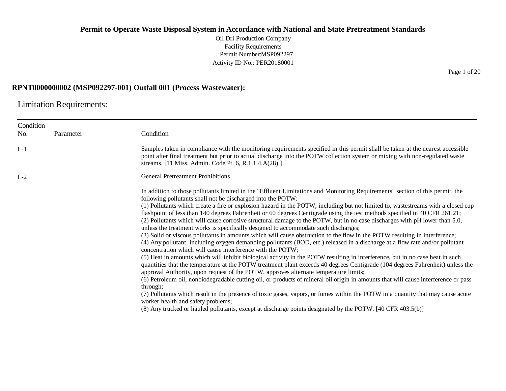Oil Dri Production Company Facility Requirements Permit Number:MSP092297 Activity ID No.: PER20180001

#### **RPNT0000000002 (MSP092297-001) Outfall 001 (Process Wastewater):**

Limitation Requirements:

| Condition |           |                                                                                                                                                                                                                                                                                                                                                                                                                                                                                                                                                                                                                                                                                                                                                                                                                                                                                                                                                                                                                                                                                                                                                                                                                                                                                                                                                                                                                                                                                                                                                                                                                                                                                                                                                                                                                    |
|-----------|-----------|--------------------------------------------------------------------------------------------------------------------------------------------------------------------------------------------------------------------------------------------------------------------------------------------------------------------------------------------------------------------------------------------------------------------------------------------------------------------------------------------------------------------------------------------------------------------------------------------------------------------------------------------------------------------------------------------------------------------------------------------------------------------------------------------------------------------------------------------------------------------------------------------------------------------------------------------------------------------------------------------------------------------------------------------------------------------------------------------------------------------------------------------------------------------------------------------------------------------------------------------------------------------------------------------------------------------------------------------------------------------------------------------------------------------------------------------------------------------------------------------------------------------------------------------------------------------------------------------------------------------------------------------------------------------------------------------------------------------------------------------------------------------------------------------------------------------|
| No.       | Parameter | Condition                                                                                                                                                                                                                                                                                                                                                                                                                                                                                                                                                                                                                                                                                                                                                                                                                                                                                                                                                                                                                                                                                                                                                                                                                                                                                                                                                                                                                                                                                                                                                                                                                                                                                                                                                                                                          |
| $L-1$     |           | Samples taken in compliance with the monitoring requirements specified in this permit shall be taken at the nearest accessible<br>point after final treatment but prior to actual discharge into the POTW collection system or mixing with non-regulated waste<br>streams. [11 Miss. Admin. Code Pt. 6, R.1.1.4.A(28).]                                                                                                                                                                                                                                                                                                                                                                                                                                                                                                                                                                                                                                                                                                                                                                                                                                                                                                                                                                                                                                                                                                                                                                                                                                                                                                                                                                                                                                                                                            |
| $L-2$     |           | <b>General Pretreatment Prohibitions</b>                                                                                                                                                                                                                                                                                                                                                                                                                                                                                                                                                                                                                                                                                                                                                                                                                                                                                                                                                                                                                                                                                                                                                                                                                                                                                                                                                                                                                                                                                                                                                                                                                                                                                                                                                                           |
|           |           | In addition to those pollutants limited in the "Effluent Limitations and Monitoring Requirements" section of this permit, the<br>following pollutants shall not be discharged into the POTW:<br>(1) Pollutants which create a fire or explosion hazard in the POTW, including but not limited to, wastestreams with a closed cup<br>flashpoint of less than 140 degrees Fahrenheit or 60 degrees Centigrade using the test methods specified in 40 CFR 261.21;<br>(2) Pollutants which will cause corrosive structural damage to the POTW, but in no case discharges with pH lower than 5.0,<br>unless the treatment works is specifically designed to accommodate such discharges;<br>(3) Solid or viscous pollutants in amounts which will cause obstruction to the flow in the POTW resulting in interference;<br>(4) Any pollutant, including oxygen demanding pollutants (BOD, etc.) released in a discharge at a flow rate and/or pollutant<br>concentration which will cause interference with the POTW;<br>(5) Heat in amounts which will inhibit biological activity in the POTW resulting in interference, but in no case heat in such<br>quantities that the temperature at the POTW treatment plant exceeds 40 degrees Centigrade (104 degrees Fahrenheit) unless the<br>approval Authority, upon request of the POTW, approves alternate temperature limits;<br>(6) Petroleum oil, nonbiodegradable cutting oil, or products of mineral oil origin in amounts that will cause interference or pass<br>through;<br>(7) Pollutants which result in the presence of toxic gases, vapors, or fumes within the POTW in a quantity that may cause acute<br>worker health and safety problems;<br>(8) Any trucked or hauled pollutants, except at discharge points designated by the POTW. [40 CFR 403.5(b)] |

Page 1 of 20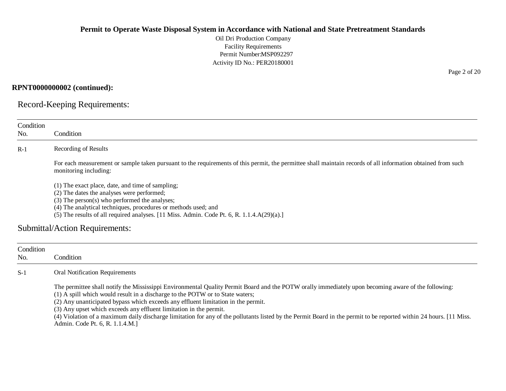Oil Dri Production Company Facility Requirements Permit Number:MSP092297 Activity ID No.: PER20180001

## **RPNT0000000002 (continued):**

Record-Keeping Requirements:

| Condition        |                                                                                                                                                                                                                                                                                                                                                                                                                                                                                                                                                                                                          |
|------------------|----------------------------------------------------------------------------------------------------------------------------------------------------------------------------------------------------------------------------------------------------------------------------------------------------------------------------------------------------------------------------------------------------------------------------------------------------------------------------------------------------------------------------------------------------------------------------------------------------------|
| No.              | Condition                                                                                                                                                                                                                                                                                                                                                                                                                                                                                                                                                                                                |
| $R-1$            | Recording of Results                                                                                                                                                                                                                                                                                                                                                                                                                                                                                                                                                                                     |
|                  | For each measurement or sample taken pursuant to the requirements of this permit, the permittee shall maintain records of all information obtained from such<br>monitoring including:                                                                                                                                                                                                                                                                                                                                                                                                                    |
|                  | (1) The exact place, date, and time of sampling;<br>(2) The dates the analyses were performed;<br>(3) The person(s) who performed the analyses;<br>(4) The analytical techniques, procedures or methods used; and                                                                                                                                                                                                                                                                                                                                                                                        |
|                  | (5) The results of all required analyses. [11 Miss. Admin. Code Pt. 6, R. 1.1.4.A(29)(a).]                                                                                                                                                                                                                                                                                                                                                                                                                                                                                                               |
|                  | Submittal/Action Requirements:                                                                                                                                                                                                                                                                                                                                                                                                                                                                                                                                                                           |
| Condition<br>No. | Condition                                                                                                                                                                                                                                                                                                                                                                                                                                                                                                                                                                                                |
| $S-1$            | <b>Oral Notification Requirements</b>                                                                                                                                                                                                                                                                                                                                                                                                                                                                                                                                                                    |
|                  | The permittee shall notify the Mississippi Environmental Quality Permit Board and the POTW orally immediately upon becoming aware of the following:<br>(1) A spill which would result in a discharge to the POTW or to State waters;<br>(2) Any unanticipated bypass which exceeds any effluent limitation in the permit.<br>(3) Any upset which exceeds any effluent limitation in the permit.<br>(4) Violation of a maximum daily discharge limitation for any of the pollutants listed by the Permit Board in the permit to be reported within 24 hours. [11 Miss.<br>Admin. Code Pt. 6, R. 1.1.4.M.] |

Page 2 of 20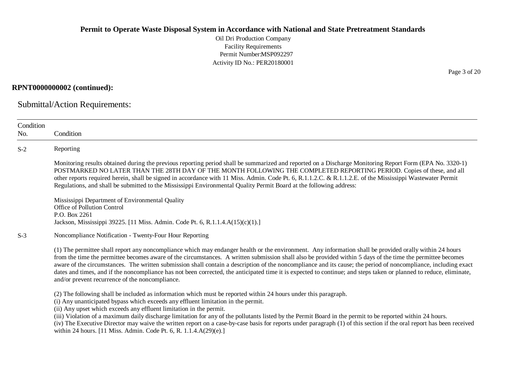Oil Dri Production Company Facility Requirements Permit Number:MSP092297 Activity ID No.: PER20180001

#### **RPNT0000000002 (continued):**

Submittal/Action Requirements:

| Condition<br>No. | Condition                                                                                                                                                                                                                                                                                                                                                                                                                                                                                                                                                                                                                                                                                                           |  |  |  |  |
|------------------|---------------------------------------------------------------------------------------------------------------------------------------------------------------------------------------------------------------------------------------------------------------------------------------------------------------------------------------------------------------------------------------------------------------------------------------------------------------------------------------------------------------------------------------------------------------------------------------------------------------------------------------------------------------------------------------------------------------------|--|--|--|--|
| $S-2$            | Reporting                                                                                                                                                                                                                                                                                                                                                                                                                                                                                                                                                                                                                                                                                                           |  |  |  |  |
|                  | Monitoring results obtained during the previous reporting period shall be summarized and reported on a Discharge Monitoring Report Form (EPA No. 3320-1)<br>POSTMARKED NO LATER THAN THE 28TH DAY OF THE MONTH FOLLOWING THE COMPLETED REPORTING PERIOD. Copies of these, and all<br>other reports required herein, shall be signed in accordance with 11 Miss. Admin. Code Pt. 6, R.1.1.2.C. & R.1.1.2.E. of the Mississippi Wastewater Permit<br>Regulations, and shall be submitted to the Mississippi Environmental Quality Permit Board at the following address:                                                                                                                                              |  |  |  |  |
|                  | Mississippi Department of Environmental Quality<br>Office of Pollution Control<br>P.O. Box 2261<br>Jackson, Mississippi 39225. [11 Miss. Admin. Code Pt. 6, R.1.1.4.A(15)(c)(1).]                                                                                                                                                                                                                                                                                                                                                                                                                                                                                                                                   |  |  |  |  |
| $S-3$            | Noncompliance Notification - Twenty-Four Hour Reporting                                                                                                                                                                                                                                                                                                                                                                                                                                                                                                                                                                                                                                                             |  |  |  |  |
|                  | (1) The permittee shall report any noncompliance which may endanger health or the environment. Any information shall be provided orally within 24 hours<br>from the time the permittee becomes aware of the circumstances. A written submission shall also be provided within 5 days of the time the permittee becomes<br>aware of the circumstances. The written submission shall contain a description of the noncompliance and its cause; the period of noncompliance, including exact<br>dates and times, and if the noncompliance has not been corrected, the anticipated time it is expected to continue; and steps taken or planned to reduce, eliminate,<br>and/or prevent recurrence of the noncompliance. |  |  |  |  |
|                  | (2) The following shall be included as information which must be reported within 24 hours under this paragraph.<br>(i) Any unanticipated bypass which exceeds any effluent limitation in the permit.<br>(ii) Any upset which exceeds any effluent limitation in the permit.<br>(iii) Violation of a maximum daily discharge limitation for any of the pollutants listed by the Permit Board in the permit to be reported within 24 hours.<br>(iv) The Executive Director may waive the written report on a case-by-case basis for reports under paragraph (1) of this section if the oral report has been received<br>within 24 hours. [11 Miss. Admin. Code Pt. 6, R. 1.1.4.A(29)(e).]                             |  |  |  |  |

Page 3 of 20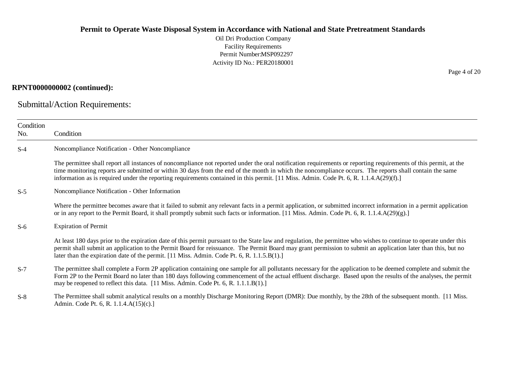Oil Dri Production Company Facility Requirements Permit Number:MSP092297 Activity ID No.: PER20180001

### **RPNT0000000002 (continued):**

Submittal/Action Requirements:

| Condition |                                                                                                                                                                                                                                                                                                                                                                                                                                                                       |
|-----------|-----------------------------------------------------------------------------------------------------------------------------------------------------------------------------------------------------------------------------------------------------------------------------------------------------------------------------------------------------------------------------------------------------------------------------------------------------------------------|
| No.       | Condition                                                                                                                                                                                                                                                                                                                                                                                                                                                             |
| $S-4$     | Noncompliance Notification - Other Noncompliance                                                                                                                                                                                                                                                                                                                                                                                                                      |
|           | The permittee shall report all instances of noncompliance not reported under the oral notification requirements or reporting requirements of this permit, at the<br>time monitoring reports are submitted or within 30 days from the end of the month in which the noncompliance occurs. The reports shall contain the same<br>information as is required under the reporting requirements contained in this permit. [11 Miss. Admin. Code Pt. 6, R. 1.1.4.A(29)(f).] |
| $S-5$     | Noncompliance Notification - Other Information                                                                                                                                                                                                                                                                                                                                                                                                                        |
|           | Where the permittee becomes aware that it failed to submit any relevant facts in a permit application, or submitted incorrect information in a permit application<br>or in any report to the Permit Board, it shall promptly submit such facts or information. [11 Miss. Admin. Code Pt. 6, R. 1.1.4.A(29)(g).]                                                                                                                                                       |
| $S-6$     | <b>Expiration of Permit</b>                                                                                                                                                                                                                                                                                                                                                                                                                                           |
|           | At least 180 days prior to the expiration date of this permit pursuant to the State law and regulation, the permittee who wishes to continue to operate under this<br>permit shall submit an application to the Permit Board for reissuance. The Permit Board may grant permission to submit an application later than this, but no<br>later than the expiration date of the permit. [11 Miss. Admin. Code Pt. 6, R. 1.1.5.B(1).]                                     |
| $S-7$     | The permittee shall complete a Form 2P application containing one sample for all pollutants necessary for the application to be deemed complete and submit the<br>Form 2P to the Permit Board no later than 180 days following commencement of the actual effluent discharge. Based upon the results of the analyses, the permit<br>may be reopened to reflect this data. [11 Miss. Admin. Code Pt. 6, R. 1.1.1.B(1).]                                                |
| $S-8$     | The Permittee shall submit analytical results on a monthly Discharge Monitoring Report (DMR): Due monthly, by the 28th of the subsequent month. [11 Miss.<br>Admin. Code Pt. 6, R. 1.1.4.A(15)(c).]                                                                                                                                                                                                                                                                   |

Page 4 of 20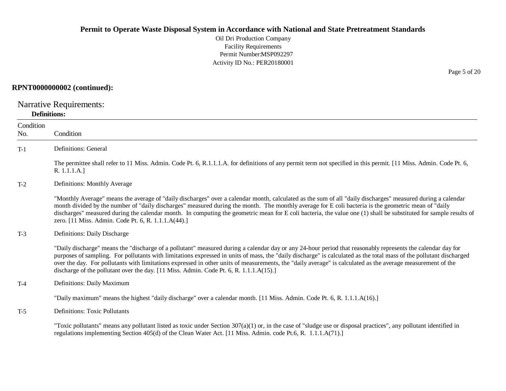Oil Dri Production Company Facility Requirements Permit Number:MSP092297 Activity ID No.: PER20180001

#### **RPNT0000000002 (continued):**

Narrative Requirements:

#### **Definitions:**

| Condition<br>No. | Condition                                                                                                                                                                                                                                                                                                                                                                                                                                                                                                                                                                                   |
|------------------|---------------------------------------------------------------------------------------------------------------------------------------------------------------------------------------------------------------------------------------------------------------------------------------------------------------------------------------------------------------------------------------------------------------------------------------------------------------------------------------------------------------------------------------------------------------------------------------------|
| $T-1$            | Definitions: General                                                                                                                                                                                                                                                                                                                                                                                                                                                                                                                                                                        |
|                  | The permittee shall refer to 11 Miss. Admin. Code Pt. 6, R.1.1.1.A. for definitions of any permit term not specified in this permit. [11 Miss. Admin. Code Pt. 6,<br>R. 1.1.1.A.]                                                                                                                                                                                                                                                                                                                                                                                                           |
| $T-2$            | Definitions: Monthly Average                                                                                                                                                                                                                                                                                                                                                                                                                                                                                                                                                                |
|                  | "Monthly Average" means the average of "daily discharges" over a calendar month, calculated as the sum of all "daily discharges" measured during a calendar<br>month divided by the number of "daily discharges" measured during the month. The monthly average for E coli bacteria is the geometric mean of "daily<br>discharges" measured during the calendar month. In computing the geometric mean for E coli bacteria, the value one (1) shall be substituted for sample results of<br>zero. [11 Miss. Admin. Code Pt. 6, R. 1.1.1.A(44).]                                             |
| $T-3$            | Definitions: Daily Discharge                                                                                                                                                                                                                                                                                                                                                                                                                                                                                                                                                                |
|                  | "Daily discharge" means the "discharge of a pollutant" measured during a calendar day or any 24-hour period that reasonably represents the calendar day for<br>purposes of sampling. For pollutants with limitations expressed in units of mass, the "daily discharge" is calculated as the total mass of the pollutant discharged<br>over the day. For pollutants with limitations expressed in other units of measurements, the "daily average" is calculated as the average measurement of the<br>discharge of the pollutant over the day. [11 Miss. Admin. Code Pt. 6, R. 1.1.1.A(15).] |
| $T-4$            | Definitions: Daily Maximum                                                                                                                                                                                                                                                                                                                                                                                                                                                                                                                                                                  |
|                  | "Daily maximum" means the highest "daily discharge" over a calendar month. [11 Miss. Admin. Code Pt. 6, R. 1.1.1.A(16).]                                                                                                                                                                                                                                                                                                                                                                                                                                                                    |
| $T-5$            | <b>Definitions: Toxic Pollutants</b>                                                                                                                                                                                                                                                                                                                                                                                                                                                                                                                                                        |
|                  | "Toxic pollutants" means any pollutant listed as toxic under Section $307(a)(1)$ or, in the case of "sludge use or disposal practices", any pollutant identified in<br>regulations implementing Section 405(d) of the Clean Water Act. [11 Miss. Admin. code Pt.6, R. 1.1.1.A(71).]                                                                                                                                                                                                                                                                                                         |

Page 5 of 20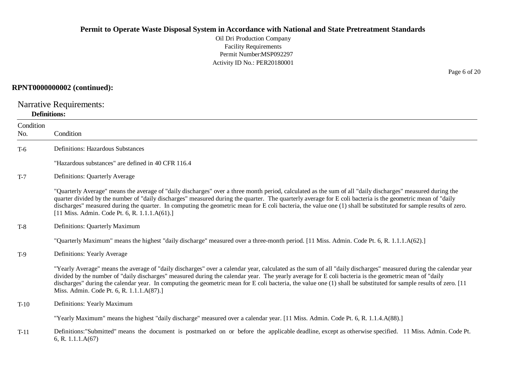Oil Dri Production Company Facility Requirements Permit Number:MSP092297 Activity ID No.: PER20180001

#### **RPNT0000000002 (continued):**

Narrative Requirements:

#### **Definitions:**

**Condition** No. Condition T-6 Definitions: Hazardous Substances "Hazardous substances" are defined in 40 CFR 116.4 T-7 Definitions: Quarterly Average "Quarterly Average" means the average of "daily discharges" over a three month period, calculated as the sum of all "daily discharges" measured during the quarter divided by the number of "daily discharges" measured during the quarter. The quarterly average for E coli bacteria is the geometric mean of "daily discharges" measured during the quarter. In computing the geometric mean for E coli bacteria, the value one (1) shall be substituted for sample results of zero. [11 Miss. Admin. Code Pt. 6, R. 1.1.1.A(61).] T-8 Definitions: Quarterly Maximum "Quarterly Maximum" means the highest "daily discharge" measured over a three-month period. [11 Miss. Admin. Code Pt. 6, R. 1.1.1.A(62).] T-9 Definitions: Yearly Average "Yearly Average" means the average of "daily discharges" over a calendar year, calculated as the sum of all "daily discharges" measured during the calendar year divided by the number of "daily discharges" measured during the calendar year. The yearly average for E coli bacteria is the geometric mean of "daily discharges" during the calendar year. In computing the geometric mean for E coli bacteria, the value one (1) shall be substituted for sample results of zero. [11] Miss. Admin. Code Pt. 6, R. 1.1.1.A(87).] T-10 Definitions: Yearly Maximum "Yearly Maximum" means the highest "daily discharge" measured over a calendar year. [11 Miss. Admin. Code Pt. 6, R. 1.1.4.A(88).] T-11 Definitions:"Submitted" means the document is postmarked on or before the applicable deadline, except as otherwise specified. 11 Miss. Admin. Code Pt. 6, R. 1.1.1.A(67)

Page 6 of 20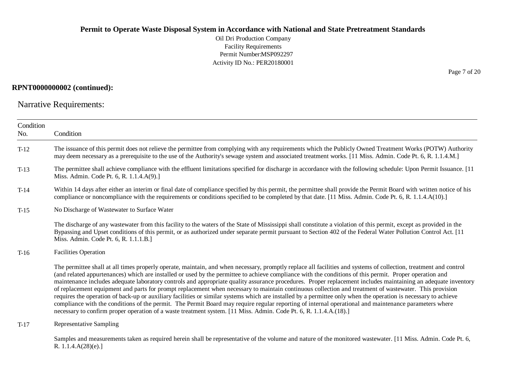Oil Dri Production Company Facility Requirements Permit Number:MSP092297 Activity ID No.: PER20180001

### **RPNT0000000002 (continued):**

Narrative Requirements:

| Condition<br>No. | Condition                                                                                                                                                                                                                                                                                                                                                                                                                                                                                                                                                                                                                                                                                                                                                                                                                                                                                                                                                                                                                                                                                                |
|------------------|----------------------------------------------------------------------------------------------------------------------------------------------------------------------------------------------------------------------------------------------------------------------------------------------------------------------------------------------------------------------------------------------------------------------------------------------------------------------------------------------------------------------------------------------------------------------------------------------------------------------------------------------------------------------------------------------------------------------------------------------------------------------------------------------------------------------------------------------------------------------------------------------------------------------------------------------------------------------------------------------------------------------------------------------------------------------------------------------------------|
| $T-12$           | The issuance of this permit does not relieve the permittee from complying with any requirements which the Publicly Owned Treatment Works (POTW) Authority<br>may deem necessary as a prerequisite to the use of the Authority's sewage system and associated treatment works. [11 Miss. Admin. Code Pt. 6, R. 1.1.4.M.]                                                                                                                                                                                                                                                                                                                                                                                                                                                                                                                                                                                                                                                                                                                                                                                  |
| $T-13$           | The permittee shall achieve compliance with the effluent limitations specified for discharge in accordance with the following schedule: Upon Permit Issuance. [11]<br>Miss. Admin. Code Pt. 6, R. 1.1.4.A(9).]                                                                                                                                                                                                                                                                                                                                                                                                                                                                                                                                                                                                                                                                                                                                                                                                                                                                                           |
| $T-14$           | Within 14 days after either an interim or final date of compliance specified by this permit, the permittee shall provide the Permit Board with written notice of his<br>compliance or noncompliance with the requirements or conditions specified to be completed by that date. [11 Miss. Admin. Code Pt. 6, R. 1.1.4.A(10).]                                                                                                                                                                                                                                                                                                                                                                                                                                                                                                                                                                                                                                                                                                                                                                            |
| $T-15$           | No Discharge of Wastewater to Surface Water                                                                                                                                                                                                                                                                                                                                                                                                                                                                                                                                                                                                                                                                                                                                                                                                                                                                                                                                                                                                                                                              |
|                  | The discharge of any wastewater from this facility to the waters of the State of Mississippi shall constitute a violation of this permit, except as provided in the<br>Bypassing and Upset conditions of this permit, or as authorized under separate permit pursuant to Section 402 of the Federal Water Pollution Control Act. [11]<br>Miss. Admin. Code Pt. 6, R. 1.1.1.B.]                                                                                                                                                                                                                                                                                                                                                                                                                                                                                                                                                                                                                                                                                                                           |
| $T-16$           | <b>Facilities Operation</b>                                                                                                                                                                                                                                                                                                                                                                                                                                                                                                                                                                                                                                                                                                                                                                                                                                                                                                                                                                                                                                                                              |
|                  | The permittee shall at all times properly operate, maintain, and when necessary, promptly replace all facilities and systems of collection, treatment and control<br>(and related appurtenances) which are installed or used by the permittee to achieve compliance with the conditions of this permit. Proper operation and<br>maintenance includes adequate laboratory controls and appropriate quality assurance procedures. Proper replacement includes maintaining an adequate inventory<br>of replacement equipment and parts for prompt replacement when necessary to maintain continuous collection and treatment of wastewater. This provision<br>requires the operation of back-up or auxiliary facilities or similar systems which are installed by a permittee only when the operation is necessary to achieve<br>compliance with the conditions of the permit. The Permit Board may require regular reporting of internal operational and maintenance parameters where<br>necessary to confirm proper operation of a waste treatment system. [11 Miss. Admin. Code Pt. 6, R. 1.1.4.A.(18).] |
| $T-17$           | Representative Sampling                                                                                                                                                                                                                                                                                                                                                                                                                                                                                                                                                                                                                                                                                                                                                                                                                                                                                                                                                                                                                                                                                  |
|                  | Samples and measurements taken as required herein shall be representative of the volume and nature of the monitored wastewater. [11 Miss. Admin. Code Pt. 6,<br>R. $1.1.4.A(28)(e).$                                                                                                                                                                                                                                                                                                                                                                                                                                                                                                                                                                                                                                                                                                                                                                                                                                                                                                                     |

Page 7 of 20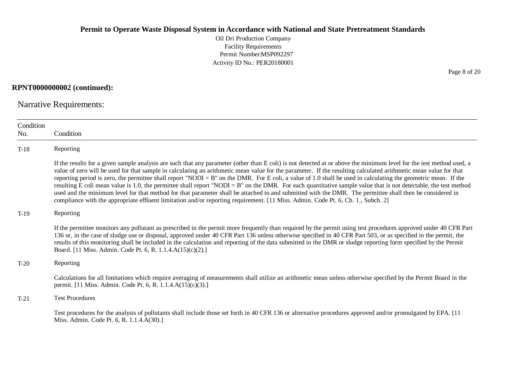Oil Dri Production Company Facility Requirements Permit Number:MSP092297 Activity ID No.: PER20180001

### **RPNT0000000002 (continued):**

Narrative Requirements:

| Condition<br>No. | Condition                                                                                                                                                                                                                                                                                                                                                                                                                                                                                                                                                                                                                                                                                                                                                                                                                                                                                                                                                                      |
|------------------|--------------------------------------------------------------------------------------------------------------------------------------------------------------------------------------------------------------------------------------------------------------------------------------------------------------------------------------------------------------------------------------------------------------------------------------------------------------------------------------------------------------------------------------------------------------------------------------------------------------------------------------------------------------------------------------------------------------------------------------------------------------------------------------------------------------------------------------------------------------------------------------------------------------------------------------------------------------------------------|
| $T-18$           | Reporting                                                                                                                                                                                                                                                                                                                                                                                                                                                                                                                                                                                                                                                                                                                                                                                                                                                                                                                                                                      |
|                  | If the results for a given sample analysis are such that any parameter (other than E coli) is not detected at or above the minimum level for the test method used, a<br>value of zero will be used for that sample in calculating an arithmetic mean value for the parameter. If the resulting calculated arithmetic mean value for that<br>reporting period is zero, the permittee shall report "NODI = B" on the DMR. For E coli, a value of 1.0 shall be used in calculating the geometric mean. If the<br>resulting E coli mean value is 1.0, the permittee shall report "NODI = B" on the DMR. For each quantitative sample value that is not detectable, the test method<br>used and the minimum level for that method for that parameter shall be attached to and submitted with the DMR. The permittee shall then be considered in<br>compliance with the appropriate effluent limitation and/or reporting requirement. [11 Miss. Admin. Code Pt. 6, Ch. 1., Subch. 2] |
| $T-19$           | Reporting                                                                                                                                                                                                                                                                                                                                                                                                                                                                                                                                                                                                                                                                                                                                                                                                                                                                                                                                                                      |
|                  | If the permittee monitors any pollutant as prescribed in the permit more frequently than required by the permit using test procedures approved under 40 CFR Part<br>136 or, in the case of sludge use or disposal, approved under 40 CFR Part 136 unless otherwise specified in 40 CFR Part 503, or as specified in the permit, the<br>results of this monitoring shall be included in the calculation and reporting of the data submitted in the DMR or sludge reporting form specified by the Permit<br>Board. [11 Miss. Admin. Code Pt. 6, R. 1.1.4.A(15)(c)(2).]                                                                                                                                                                                                                                                                                                                                                                                                           |
| $T-20$           | Reporting                                                                                                                                                                                                                                                                                                                                                                                                                                                                                                                                                                                                                                                                                                                                                                                                                                                                                                                                                                      |
|                  | Calculations for all limitations which require averaging of measurements shall utilize an arithmetic mean unless otherwise specified by the Permit Board in the<br>permit. [11 Miss. Admin. Code Pt. 6, R. 1.1.4.A(15)(c)(3).]                                                                                                                                                                                                                                                                                                                                                                                                                                                                                                                                                                                                                                                                                                                                                 |
| $T-21$           | <b>Test Procedures</b>                                                                                                                                                                                                                                                                                                                                                                                                                                                                                                                                                                                                                                                                                                                                                                                                                                                                                                                                                         |
|                  | Test procedures for the analysis of pollutants shall include those set forth in 40 CFR 136 or alternative procedures approved and/or promulgated by EPA. [11]<br>Miss. Admin. Code Pt. 6, R. 1.1.4.A(30).]                                                                                                                                                                                                                                                                                                                                                                                                                                                                                                                                                                                                                                                                                                                                                                     |

Page 8 of 20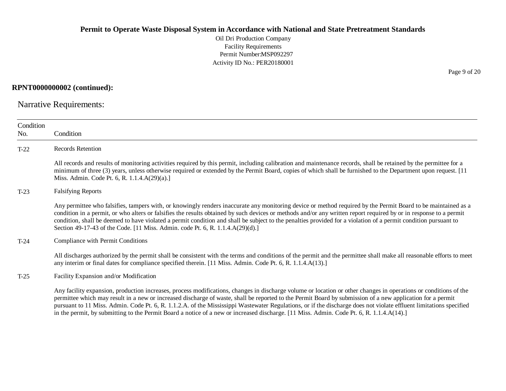Oil Dri Production Company Facility Requirements Permit Number:MSP092297 Activity ID No.: PER20180001

### **RPNT0000000002 (continued):**

Narrative Requirements:

| Condition<br>No. | Condition                                                                                                                                                                                                                                                                                                                                                                                                                                                                                                                                                                                                                                        |
|------------------|--------------------------------------------------------------------------------------------------------------------------------------------------------------------------------------------------------------------------------------------------------------------------------------------------------------------------------------------------------------------------------------------------------------------------------------------------------------------------------------------------------------------------------------------------------------------------------------------------------------------------------------------------|
| $T-22$           | Records Retention                                                                                                                                                                                                                                                                                                                                                                                                                                                                                                                                                                                                                                |
|                  | All records and results of monitoring activities required by this permit, including calibration and maintenance records, shall be retained by the permittee for a<br>minimum of three (3) years, unless otherwise required or extended by the Permit Board, copies of which shall be furnished to the Department upon request. [11]<br>Miss. Admin. Code Pt. 6, R. 1.1.4.A(29)(a).]                                                                                                                                                                                                                                                              |
| $T-23$           | <b>Falsifying Reports</b>                                                                                                                                                                                                                                                                                                                                                                                                                                                                                                                                                                                                                        |
|                  | Any permittee who falsifies, tampers with, or knowingly renders inaccurate any monitoring device or method required by the Permit Board to be maintained as a<br>condition in a permit, or who alters or falsifies the results obtained by such devices or methods and/or any written report required by or in response to a permit<br>condition, shall be deemed to have violated a permit condition and shall be subject to the penalties provided for a violation of a permit condition pursuant to<br>Section 49-17-43 of the Code. [11 Miss. Admin. code Pt. 6, R. 1.1.4.A(29)(d).]                                                         |
| $T-24$           | Compliance with Permit Conditions                                                                                                                                                                                                                                                                                                                                                                                                                                                                                                                                                                                                                |
|                  | All discharges authorized by the permit shall be consistent with the terms and conditions of the permit and the permittee shall make all reasonable efforts to meet<br>any interim or final dates for compliance specified therein. [11 Miss. Admin. Code Pt. 6, R. 1.1.4.A(13).]                                                                                                                                                                                                                                                                                                                                                                |
| $T-25$           | Facility Expansion and/or Modification                                                                                                                                                                                                                                                                                                                                                                                                                                                                                                                                                                                                           |
|                  | Any facility expansion, production increases, process modifications, changes in discharge volume or location or other changes in operations or conditions of the<br>permittee which may result in a new or increased discharge of waste, shall be reported to the Permit Board by submission of a new application for a permit<br>pursuant to 11 Miss. Admin. Code Pt. 6, R. 1.1.2.A. of the Mississippi Wastewater Regulations, or if the discharge does not violate effluent limitations specified<br>in the permit, by submitting to the Permit Board a notice of a new or increased discharge. [11 Miss. Admin. Code Pt. 6, R. 1.1.4.A(14).] |

Page 9 of 20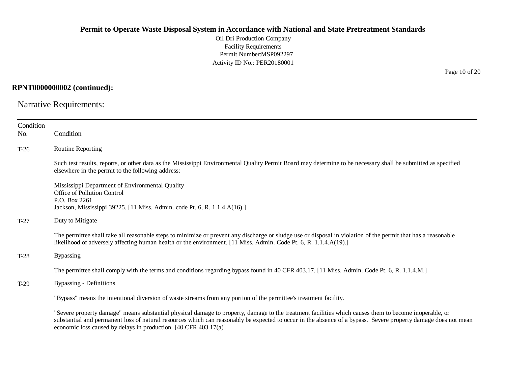Oil Dri Production Company Facility Requirements Permit Number:MSP092297 Activity ID No.: PER20180001

#### **RPNT0000000002 (continued):**

Narrative Requirements:

| Condition<br>No. | Condition                                                                                                                                                                                                                                                                                                               |  |  |
|------------------|-------------------------------------------------------------------------------------------------------------------------------------------------------------------------------------------------------------------------------------------------------------------------------------------------------------------------|--|--|
| $T-26$           | Routine Reporting                                                                                                                                                                                                                                                                                                       |  |  |
|                  | Such test results, reports, or other data as the Mississippi Environmental Quality Permit Board may determine to be necessary shall be submitted as specified<br>elsewhere in the permit to the following address:                                                                                                      |  |  |
|                  | Mississippi Department of Environmental Quality<br>Office of Pollution Control<br>P.O. Box 2261<br>Jackson, Mississippi 39225. [11 Miss. Admin. code Pt. 6, R. 1.1.4.A(16).]                                                                                                                                            |  |  |
| $T-27$           | Duty to Mitigate                                                                                                                                                                                                                                                                                                        |  |  |
|                  | The permittee shall take all reasonable steps to minimize or prevent any discharge or sludge use or disposal in violation of the permit that has a reasonable<br>likelihood of adversely affecting human health or the environment. [11 Miss. Admin. Code Pt. 6, R. 1.1.4.A(19).]                                       |  |  |
| $T-28$           | <b>Bypassing</b>                                                                                                                                                                                                                                                                                                        |  |  |
|                  | The permittee shall comply with the terms and conditions regarding bypass found in 40 CFR 403.17. [11 Miss. Admin. Code Pt. 6, R. 1.1.4.M.]                                                                                                                                                                             |  |  |
| $T-29$           | Bypassing - Definitions                                                                                                                                                                                                                                                                                                 |  |  |
|                  | "Bypass" means the intentional diversion of waste streams from any portion of the permittee's treatment facility.                                                                                                                                                                                                       |  |  |
|                  | "Severe property damage" means substantial physical damage to property, damage to the treatment facilities which causes them to become inoperable, or<br>substantial and permanent loss of natural resources which can reasonably be expected to occur in the absence of a bypass. Severe property damage does not mean |  |  |

economic loss caused by delays in production. [40 CFR 403.17(a)]

Page 10 of 20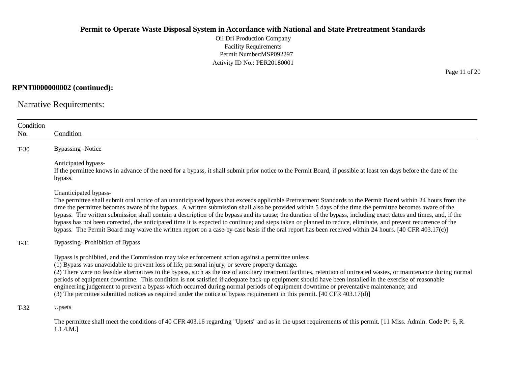Oil Dri Production Company Facility Requirements Permit Number:MSP092297 Activity ID No.: PER20180001

**RPNT0000000002 (continued):**

Narrative Requirements:

| Condition<br>No. | Condition                                                                                                                                                                                                                                                                                                                                                                                                                                                                                                                                                                                                                                                                                                                                                                                                                                          |
|------------------|----------------------------------------------------------------------------------------------------------------------------------------------------------------------------------------------------------------------------------------------------------------------------------------------------------------------------------------------------------------------------------------------------------------------------------------------------------------------------------------------------------------------------------------------------------------------------------------------------------------------------------------------------------------------------------------------------------------------------------------------------------------------------------------------------------------------------------------------------|
| $T-30$           | <b>Bypassing -Notice</b>                                                                                                                                                                                                                                                                                                                                                                                                                                                                                                                                                                                                                                                                                                                                                                                                                           |
|                  | Anticipated bypass-<br>If the permittee knows in advance of the need for a bypass, it shall submit prior notice to the Permit Board, if possible at least ten days before the date of the<br>bypass.                                                                                                                                                                                                                                                                                                                                                                                                                                                                                                                                                                                                                                               |
|                  | Unanticipated bypass-<br>The permittee shall submit oral notice of an unanticipated bypass that exceeds applicable Pretreatment Standards to the Permit Board within 24 hours from the<br>time the permittee becomes aware of the bypass. A written submission shall also be provided within 5 days of the time the permittee becomes aware of the<br>bypass. The written submission shall contain a description of the bypass and its cause; the duration of the bypass, including exact dates and times, and, if the<br>bypass has not been corrected, the anticipated time it is expected to continue; and steps taken or planned to reduce, eliminate, and prevent recurrence of the<br>bypass. The Permit Board may waive the written report on a case-by-case basis if the oral report has been received within 24 hours. [40 CFR 403.17(c)] |
| $T-31$           | Bypassing-Prohibition of Bypass                                                                                                                                                                                                                                                                                                                                                                                                                                                                                                                                                                                                                                                                                                                                                                                                                    |
|                  | Bypass is prohibited, and the Commission may take enforcement action against a permittee unless:<br>(1) Bypass was unavoidable to prevent loss of life, personal injury, or severe property damage.<br>(2) There were no feasible alternatives to the bypass, such as the use of auxiliary treatment facilities, retention of untreated wastes, or maintenance during normal<br>periods of equipment downtime. This condition is not satisfied if adequate back-up equipment should have been installed in the exercise of reasonable<br>engineering judgement to prevent a bypass which occurred during normal periods of equipment downtime or preventative maintenance; and<br>(3) The permittee submitted notices as required under the notice of bypass requirement in this permit. [40 CFR 403.17(d)]                                        |
| $T-32$           | Upsets                                                                                                                                                                                                                                                                                                                                                                                                                                                                                                                                                                                                                                                                                                                                                                                                                                             |
|                  | The permittee shall meet the conditions of 40 CFR 403.16 regarding "Upsets" and as in the upset requirements of this permit. [11 Miss. Admin. Code Pt. 6, R.<br>1.1.4.M.]                                                                                                                                                                                                                                                                                                                                                                                                                                                                                                                                                                                                                                                                          |

Page 11 of 20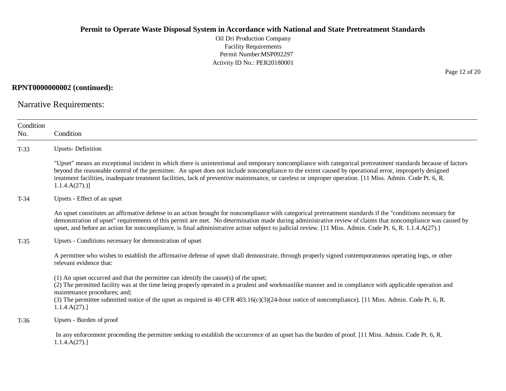Oil Dri Production Company Facility Requirements Permit Number:MSP092297 Activity ID No.: PER20180001

### **RPNT0000000002 (continued):**

Narrative Requirements:

| Condition<br>No.                                                   | Condition                                                                                                                                                                                                                                                                                                                                                                                                                                                                                               |  |  |
|--------------------------------------------------------------------|---------------------------------------------------------------------------------------------------------------------------------------------------------------------------------------------------------------------------------------------------------------------------------------------------------------------------------------------------------------------------------------------------------------------------------------------------------------------------------------------------------|--|--|
| $T-33$                                                             | <b>Upsets-Definition</b>                                                                                                                                                                                                                                                                                                                                                                                                                                                                                |  |  |
|                                                                    | "Upset" means an exceptional incident in which there is unintentional and temporary noncompliance with categorical pretreatment standards because of factors<br>beyond the reasonable control of the permittee. An upset does not include noncompliance to the extent caused by operational error, improperly designed<br>treatment facilities, inadequate treatment facilities, lack of preventive maintenance, or careless or improper operation. [11 Miss. Admin. Code Pt. 6, R.<br>$1.1.4.A(27).$ ] |  |  |
| $T-34$                                                             | Upsets - Effect of an upset                                                                                                                                                                                                                                                                                                                                                                                                                                                                             |  |  |
|                                                                    | An upset constitutes an affirmative defense to an action brought for noncompliance with categorical pretreatment standards if the "conditions necessary for<br>demonstration of upset" requirements of this permit are met. No determination made during administrative review of claims that noncompliance was caused by<br>upset, and before an action for noncompliance, is final administrative action subject to judicial review. [11 Miss. Admin. Code Pt. 6, R. 1.1.4.A(27).]                    |  |  |
| Upsets - Conditions necessary for demonstration of upset<br>$T-35$ |                                                                                                                                                                                                                                                                                                                                                                                                                                                                                                         |  |  |
|                                                                    | A permittee who wishes to establish the affirmative defense of upset shall demonstrate, through properly signed contemporaneous operating logs, or other<br>relevant evidence that:                                                                                                                                                                                                                                                                                                                     |  |  |
|                                                                    | (1) An upset occurred and that the permittee can identify the cause(s) of the upset;<br>(2) The permitted facility was at the time being properly operated in a prudent and workmanlike manner and in compliance with applicable operation and<br>maintenance procedures; and;<br>(3) The permittee submitted notice of the upset as required in 40 CFR 403.16(c)(3)(24-hour notice of noncompliance). [11 Miss. Admin. Code Pt. 6, R.<br>1.1.4.A(27).                                                  |  |  |
| $T-36$                                                             | Upsets - Burden of proof                                                                                                                                                                                                                                                                                                                                                                                                                                                                                |  |  |
|                                                                    | In any enforcement proceeding the permittee seeking to establish the occurrence of an upset has the burden of proof. [11 Miss. Admin. Code Pt. 6, R.<br>1.1.4.A(27).                                                                                                                                                                                                                                                                                                                                    |  |  |
|                                                                    |                                                                                                                                                                                                                                                                                                                                                                                                                                                                                                         |  |  |

Page 12 of 20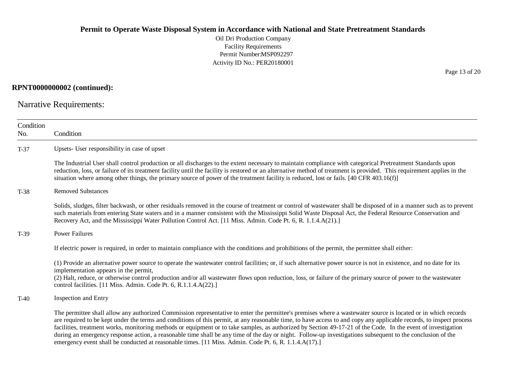Oil Dri Production Company Facility Requirements Permit Number:MSP092297 Activity ID No.: PER20180001

## **RPNT0000000002 (continued):**

Narrative Requirements:

| Condition<br>No. | Condition                                                                                                                                                                                                                                                                                                                                                                                                                                                                                                                                                                                                                                                                                                                                                                     |  |  |  |
|------------------|-------------------------------------------------------------------------------------------------------------------------------------------------------------------------------------------------------------------------------------------------------------------------------------------------------------------------------------------------------------------------------------------------------------------------------------------------------------------------------------------------------------------------------------------------------------------------------------------------------------------------------------------------------------------------------------------------------------------------------------------------------------------------------|--|--|--|
| $T-37$           | Upsets- User responsibility in case of upset                                                                                                                                                                                                                                                                                                                                                                                                                                                                                                                                                                                                                                                                                                                                  |  |  |  |
|                  | The Industrial User shall control production or all discharges to the extent necessary to maintain compliance with categorical Pretreatment Standards upon<br>reduction, loss, or failure of its treatment facility until the facility is restored or an alternative method of treatment is provided. This requirement applies in the<br>situation where among other things, the primary source of power of the treatment facility is reduced, lost or fails. [40 CFR 403.16(f)]                                                                                                                                                                                                                                                                                              |  |  |  |
| $T-38$           | <b>Removed Substances</b>                                                                                                                                                                                                                                                                                                                                                                                                                                                                                                                                                                                                                                                                                                                                                     |  |  |  |
|                  | Solids, sludges, filter backwash, or other residuals removed in the course of treatment or control of wastewater shall be disposed of in a manner such as to prevent<br>such materials from entering State waters and in a manner consistent with the Mississippi Solid Waste Disposal Act, the Federal Resource Conservation and<br>Recovery Act, and the Mississippi Water Pollution Control Act. [11 Miss. Admin. Code Pt. 6, R. 1.1.4.A(21).]                                                                                                                                                                                                                                                                                                                             |  |  |  |
| $T-39$           | <b>Power Failures</b>                                                                                                                                                                                                                                                                                                                                                                                                                                                                                                                                                                                                                                                                                                                                                         |  |  |  |
|                  | If electric power is required, in order to maintain compliance with the conditions and prohibitions of the permit, the permittee shall either:                                                                                                                                                                                                                                                                                                                                                                                                                                                                                                                                                                                                                                |  |  |  |
|                  | (1) Provide an alternative power source to operate the wastewater control facilities; or, if such alternative power source is not in existence, and no date for its<br>implementation appears in the permit,<br>(2) Halt, reduce, or otherwise control production and/or all wastewater flows upon reduction, loss, or failure of the primary source of power to the wastewater<br>control facilities. [11 Miss. Admin. Code Pt. 6, R.1.1.4.A(22).]                                                                                                                                                                                                                                                                                                                           |  |  |  |
| $T-40$           | Inspection and Entry                                                                                                                                                                                                                                                                                                                                                                                                                                                                                                                                                                                                                                                                                                                                                          |  |  |  |
|                  | The permittee shall allow any authorized Commission representative to enter the permittee's premises where a wastewater source is located or in which records<br>are required to be kept under the terms and conditions of this permit, at any reasonable time, to have access to and copy any applicable records, to inspect process<br>facilities, treatment works, monitoring methods or equipment or to take samples, as authorized by Section 49-17-21 of the Code. In the event of investigation<br>during an emergency response action, a reasonable time shall be any time of the day or night. Follow-up investigations subsequent to the conclusion of the<br>emergency event shall be conducted at reasonable times. [11 Miss. Admin. Code Pt. 6, R. 1.1.4.A(17).] |  |  |  |

Page 13 of 20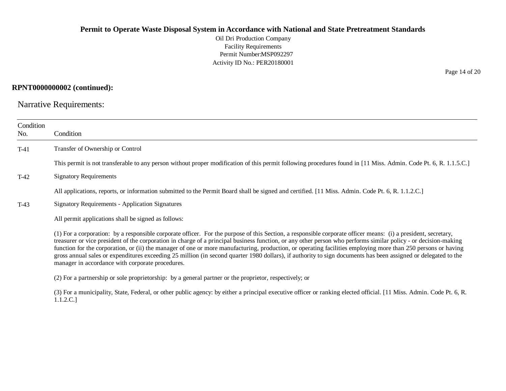Oil Dri Production Company Facility Requirements Permit Number:MSP092297 Activity ID No.: PER20180001

#### **RPNT0000000002 (continued):**

Narrative Requirements:

1.1.2.C.]

| Condition<br>No. | Condition                                                                                                                                                                                                                                                                                                                                                                                                                                                                                                                                                                                                                                                                                                                |  |  |
|------------------|--------------------------------------------------------------------------------------------------------------------------------------------------------------------------------------------------------------------------------------------------------------------------------------------------------------------------------------------------------------------------------------------------------------------------------------------------------------------------------------------------------------------------------------------------------------------------------------------------------------------------------------------------------------------------------------------------------------------------|--|--|
| $T-41$           | Transfer of Ownership or Control                                                                                                                                                                                                                                                                                                                                                                                                                                                                                                                                                                                                                                                                                         |  |  |
|                  | This permit is not transferable to any person without proper modification of this permit following procedures found in [11 Miss. Admin. Code Pt. 6, R. 1.1.5.C.]                                                                                                                                                                                                                                                                                                                                                                                                                                                                                                                                                         |  |  |
| $T-42$           | <b>Signatory Requirements</b>                                                                                                                                                                                                                                                                                                                                                                                                                                                                                                                                                                                                                                                                                            |  |  |
|                  | All applications, reports, or information submitted to the Permit Board shall be signed and certified. [11 Miss. Admin. Code Pt. 6, R. 1.1.2.C.]                                                                                                                                                                                                                                                                                                                                                                                                                                                                                                                                                                         |  |  |
| $T-43$           | <b>Signatory Requirements - Application Signatures</b>                                                                                                                                                                                                                                                                                                                                                                                                                                                                                                                                                                                                                                                                   |  |  |
|                  | All permit applications shall be signed as follows:                                                                                                                                                                                                                                                                                                                                                                                                                                                                                                                                                                                                                                                                      |  |  |
|                  | (1) For a corporation: by a responsible corporate officer. For the purpose of this Section, a responsible corporate officer means: (i) a president, secretary,<br>treasurer or vice president of the corporation in charge of a principal business function, or any other person who performs similar policy - or decision-making<br>function for the corporation, or (ii) the manager of one or more manufacturing, production, or operating facilities employing more than 250 persons or having<br>gross annual sales or expenditures exceeding 25 million (in second quarter 1980 dollars), if authority to sign documents has been assigned or delegated to the<br>manager in accordance with corporate procedures. |  |  |
|                  | (2) For a partnership or sole proprietorship: by a general partner or the proprietor, respectively; or                                                                                                                                                                                                                                                                                                                                                                                                                                                                                                                                                                                                                   |  |  |
|                  | (3) For a municipality, State, Federal, or other public agency: by either a principal executive officer or ranking elected official. [11 Miss. Admin. Code Pt. 6, R.                                                                                                                                                                                                                                                                                                                                                                                                                                                                                                                                                     |  |  |

Page 14 of 20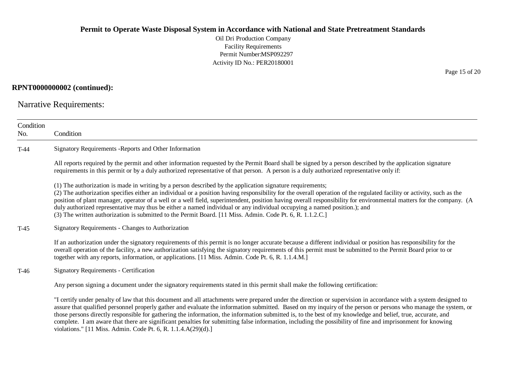Oil Dri Production Company Facility Requirements Permit Number:MSP092297 Activity ID No.: PER20180001

#### **RPNT0000000002 (continued):**

Narrative Requirements:

violations." [11 Miss. Admin. Code Pt. 6, R. 1.1.4.A(29)(d).]

| Condition<br>No.                                                                                                                                                                                                                                                                                                                                                                                                                                                                                                                                                                                                                                                                                   | Condition                                                                                                                                                                                                                                                                                                                                                                                                                                                                                        |  |  |
|----------------------------------------------------------------------------------------------------------------------------------------------------------------------------------------------------------------------------------------------------------------------------------------------------------------------------------------------------------------------------------------------------------------------------------------------------------------------------------------------------------------------------------------------------------------------------------------------------------------------------------------------------------------------------------------------------|--------------------------------------------------------------------------------------------------------------------------------------------------------------------------------------------------------------------------------------------------------------------------------------------------------------------------------------------------------------------------------------------------------------------------------------------------------------------------------------------------|--|--|
| $T-44$                                                                                                                                                                                                                                                                                                                                                                                                                                                                                                                                                                                                                                                                                             | Signatory Requirements - Reports and Other Information                                                                                                                                                                                                                                                                                                                                                                                                                                           |  |  |
|                                                                                                                                                                                                                                                                                                                                                                                                                                                                                                                                                                                                                                                                                                    | All reports required by the permit and other information requested by the Permit Board shall be signed by a person described by the application signature<br>requirements in this permit or by a duly authorized representative of that person. A person is a duly authorized representative only if:                                                                                                                                                                                            |  |  |
| (1) The authorization is made in writing by a person described by the application signature requirements;<br>(2) The authorization specifies either an individual or a position having responsibility for the overall operation of the regulated facility or activity, such as the<br>position of plant manager, operator of a well or a well field, superintendent, position having overall responsibility for environmental matters for the company. (A<br>duly authorized representative may thus be either a named individual or any individual occupying a named position.); and<br>(3) The written authorization is submitted to the Permit Board. [11 Miss. Admin. Code Pt. 6, R. 1.1.2.C.] |                                                                                                                                                                                                                                                                                                                                                                                                                                                                                                  |  |  |
| $T-45$                                                                                                                                                                                                                                                                                                                                                                                                                                                                                                                                                                                                                                                                                             | Signatory Requirements - Changes to Authorization                                                                                                                                                                                                                                                                                                                                                                                                                                                |  |  |
|                                                                                                                                                                                                                                                                                                                                                                                                                                                                                                                                                                                                                                                                                                    | If an authorization under the signatory requirements of this permit is no longer accurate because a different individual or position has responsibility for the<br>overall operation of the facility, a new authorization satisfying the signatory requirements of this permit must be submitted to the Permit Board prior to or<br>together with any reports, information, or applications. [11 Miss. Admin. Code Pt. 6, R. 1.1.4.M.]                                                           |  |  |
| T-46                                                                                                                                                                                                                                                                                                                                                                                                                                                                                                                                                                                                                                                                                               | <b>Signatory Requirements - Certification</b>                                                                                                                                                                                                                                                                                                                                                                                                                                                    |  |  |
|                                                                                                                                                                                                                                                                                                                                                                                                                                                                                                                                                                                                                                                                                                    | Any person signing a document under the signatory requirements stated in this permit shall make the following certification:                                                                                                                                                                                                                                                                                                                                                                     |  |  |
|                                                                                                                                                                                                                                                                                                                                                                                                                                                                                                                                                                                                                                                                                                    | "I certify under penalty of law that this document and all attachments were prepared under the direction or supervision in accordance with a system designed to<br>assure that qualified personnel properly gather and evaluate the information submitted. Based on my inquiry of the person or persons who manage the system, or<br>those persons directly responsible for gathering the information, the information submitted is, to the best of my knowledge and belief, true, accurate, and |  |  |

complete. I am aware that there are significant penalties for submitting false information, including the possibility of fine and imprisonment for knowing

Page 15 of 20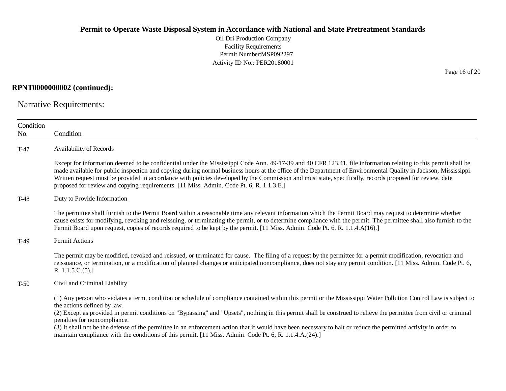Oil Dri Production Company Facility Requirements Permit Number:MSP092297 Activity ID No.: PER20180001

#### **RPNT0000000002 (continued):**

Narrative Requirements:

| Condition                             |                                                                                                                                                                                                                                                                                                                                                                                                                                                                                                                                                                                          |  |  |  |
|---------------------------------------|------------------------------------------------------------------------------------------------------------------------------------------------------------------------------------------------------------------------------------------------------------------------------------------------------------------------------------------------------------------------------------------------------------------------------------------------------------------------------------------------------------------------------------------------------------------------------------------|--|--|--|
| No.                                   | Condition                                                                                                                                                                                                                                                                                                                                                                                                                                                                                                                                                                                |  |  |  |
| $T-47$                                | Availability of Records                                                                                                                                                                                                                                                                                                                                                                                                                                                                                                                                                                  |  |  |  |
|                                       | Except for information deemed to be confidential under the Mississippi Code Ann. 49-17-39 and 40 CFR 123.41, file information relating to this permit shall be<br>made available for public inspection and copying during normal business hours at the office of the Department of Environmental Quality in Jackson, Mississippi.<br>Written request must be provided in accordance with policies developed by the Commission and must state, specifically, records proposed for review, date<br>proposed for review and copying requirements. [11 Miss. Admin. Code Pt. 6, R. 1.1.3.E.] |  |  |  |
| Duty to Provide Information<br>$T-48$ |                                                                                                                                                                                                                                                                                                                                                                                                                                                                                                                                                                                          |  |  |  |
|                                       | The permittee shall furnish to the Permit Board within a reasonable time any relevant information which the Permit Board may request to determine whether<br>cause exists for modifying, revoking and reissuing, or terminating the permit, or to determine compliance with the permit. The permittee shall also furnish to the<br>Permit Board upon request, copies of records required to be kept by the permit. [11 Miss. Admin. Code Pt. 6, R. 1.1.4.A(16).]                                                                                                                         |  |  |  |
| $T-49$                                | Permit Actions                                                                                                                                                                                                                                                                                                                                                                                                                                                                                                                                                                           |  |  |  |
|                                       | The permit may be modified, revoked and reissued, or terminated for cause. The filing of a request by the permittee for a permit modification, revocation and<br>reissuance, or termination, or a modification of planned changes or anticipated noncompliance, does not stay any permit condition. [11 Miss. Admin. Code Pt. 6,<br>R. $1.1.5.C.(5).$                                                                                                                                                                                                                                    |  |  |  |
| $T-50$                                | Civil and Criminal Liability                                                                                                                                                                                                                                                                                                                                                                                                                                                                                                                                                             |  |  |  |
|                                       | (1) Any person who violates a term, condition or schedule of compliance contained within this permit or the Mississippi Water Pollution Control Law is subject to<br>the actions defined by law.                                                                                                                                                                                                                                                                                                                                                                                         |  |  |  |
|                                       | (2) Except as provided in permit conditions on "Bypassing" and "Upsets", nothing in this permit shall be construed to relieve the permittee from civil or criminal<br>penalties for noncompliance.                                                                                                                                                                                                                                                                                                                                                                                       |  |  |  |
|                                       | (3) It shall not be the defense of the permittee in an enforcement action that it would have been necessary to halt or reduce the permitted activity in order to<br>maintain compliance with the conditions of this permit. [11 Miss. Admin. Code Pt. 6, R. 1.1.4.A.(24).]                                                                                                                                                                                                                                                                                                               |  |  |  |

Page 16 of 20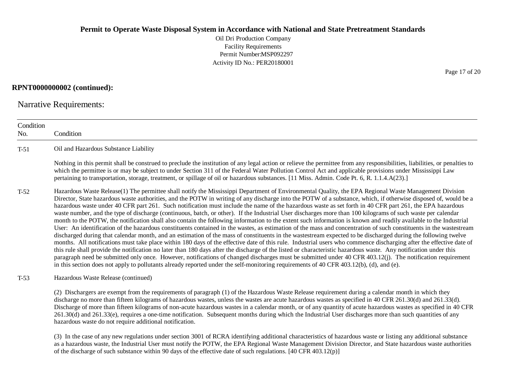Oil Dri Production Company Facility Requirements Permit Number:MSP092297 Activity ID No.: PER20180001

#### **RPNT0000000002 (continued):**

Narrative Requirements:

hazardous waste do not require additional notification.

**Condition** No. Condition T-51 Oil and Hazardous Substance Liability Nothing in this permit shall be construed to preclude the institution of any legal action or relieve the permittee from any responsibilities, liabilities, or penalties to which the permittee is or may be subject to under Section 311 of the Federal Water Pollution Control Act and applicable provisions under Mississippi Law pertaining to transportation, storage, treatment, or spillage of oil or hazardous substances. [11 Miss. Admin. Code Pt. 6, R. 1.1.4.A(23).] T-52 Hazardous Waste Release(1) The permittee shall notify the Mississippi Department of Environmental Quality, the EPA Regional Waste Management Division Director, State hazardous waste authorities, and the POTW in writing of any discharge into the POTW of a substance, which, if otherwise disposed of, would be a hazardous waste under 40 CFR part 261. Such notification must include the name of the hazardous waste as set forth in 40 CFR part 261, the EPA hazardous waste number, and the type of discharge (continuous, batch, or other). If the Industrial User discharges more than 100 kilograms of such waste per calendar month to the POTW, the notification shall also contain the following information to the extent such information is known and readily available to the Industrial User: An identification of the hazardous constituents contained in the wastes, as estimation of the mass and concentration of such constituents in the wastestream discharged during that calendar month, and an estimation of the mass of constituents in the wastestream expected to be discharged during the following twelve months. All notifications must take place within 180 days of the effective date of this rule. Industrial users who commence discharging after the effective date of this rule shall provide the notification no later than 180 days after the discharge of the listed or characteristic hazardous waste. Any notification under this paragraph need be submitted only once. However, notifications of changed discharges must be submitted under 40 CFR 403.12(j). The notification requirement in this section does not apply to pollutants already reported under the self-monitoring requirements of 40 CFR 403.12(b), (d), and (e). T-53 Hazardous Waste Release (continued) (2) Dischargers are exempt from the requirements of paragraph (1) of the Hazardous Waste Release requirement during a calendar month in which they discharge no more than fifteen kilograms of hazardous wastes, unless the wastes are acute hazardous wastes as specified in 40 CFR 261.30(d) and 261.33(d). Discharge of more than fifteen kilograms of non-acute hazardous wastes in a calendar month, or of any quantity of acute hazardous wastes as specified in 40 CFR 261.30(d) and 261.33(e), requires a one-time notification. Subsequent months during which the Industrial User discharges more than such quantities of any

(3) In the case of any new regulations under section 3001 of RCRA identifying additional characteristics of hazardous waste or listing any additional substance as a hazardous waste, the Industrial User must notify the POTW, the EPA Regional Waste Management Division Director, and State hazardous waste authorities of the discharge of such substance within 90 days of the effective date of such regulations. [40 CFR 403.12(p)]

Page 17 of 20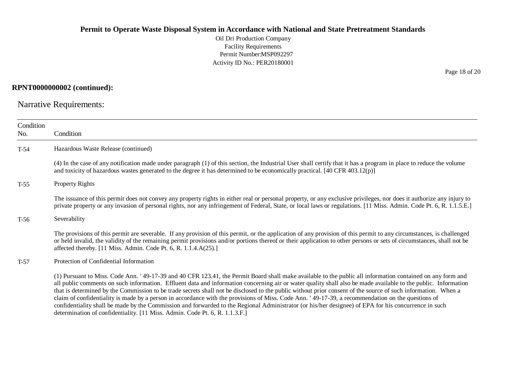Oil Dri Production Company Facility Requirements Permit Number:MSP092297 Activity ID No.: PER20180001

#### **RPNT0000000002 (continued):**

Narrative Requirements:

| Condition<br>No. | Condition                                                                                                                                                                                                                                                                                                                                                                                                                                                                                                                                                                                                                                                                                                                                                                                                  |  |  |
|------------------|------------------------------------------------------------------------------------------------------------------------------------------------------------------------------------------------------------------------------------------------------------------------------------------------------------------------------------------------------------------------------------------------------------------------------------------------------------------------------------------------------------------------------------------------------------------------------------------------------------------------------------------------------------------------------------------------------------------------------------------------------------------------------------------------------------|--|--|
| $T-54$           | Hazardous Waste Release (continued)                                                                                                                                                                                                                                                                                                                                                                                                                                                                                                                                                                                                                                                                                                                                                                        |  |  |
|                  | (4) In the case of any notification made under paragraph (1) of this section, the Industrial User shall certify that it has a program in place to reduce the volume<br>and toxicity of hazardous wastes generated to the degree it has determined to be economically practical. [40 CFR 403.12(p)]                                                                                                                                                                                                                                                                                                                                                                                                                                                                                                         |  |  |
| $T-55$           | <b>Property Rights</b>                                                                                                                                                                                                                                                                                                                                                                                                                                                                                                                                                                                                                                                                                                                                                                                     |  |  |
|                  | The issuance of this permit does not convey any property rights in either real or personal property, or any exclusive privileges, nor does it authorize any injury to<br>private property or any invasion of personal rights, nor any infringement of Federal, State, or local laws or regulations. [11 Miss. Admin. Code Pt. 6, R. 1.1.5.E.]                                                                                                                                                                                                                                                                                                                                                                                                                                                              |  |  |
| $T-56$           | Severability                                                                                                                                                                                                                                                                                                                                                                                                                                                                                                                                                                                                                                                                                                                                                                                               |  |  |
|                  | The provisions of this permit are severable. If any provision of this permit, or the application of any provision of this permit to any circumstances, is challenged<br>or held invalid, the validity of the remaining permit provisions and/or portions thereof or their application to other persons or sets of circumstances, shall not be<br>affected thereby. [11 Miss. Admin. Code Pt. 6, R. 1.1.4.A(25).]                                                                                                                                                                                                                                                                                                                                                                                           |  |  |
| $T-57$           | Protection of Confidential Information                                                                                                                                                                                                                                                                                                                                                                                                                                                                                                                                                                                                                                                                                                                                                                     |  |  |
|                  | (1) Pursuant to Miss. Code Ann. '49-17-39 and 40 CFR 123.41, the Permit Board shall make available to the public all information contained on any form and<br>all public comments on such information. Effluent data and information concerning air or water quality shall also be made available to the public. Information<br>that is determined by the Commission to be trade secrets shall not be disclosed to the public without prior consent of the source of such information. When a<br>claim of confidentiality is made by a person in accordance with the provisions of Miss. Code Ann. '49-17-39, a recommendation on the questions of<br>confidentiality shall be made by the Commission and forwarded to the Regional Administrator (or his/her designee) of EPA for his concurrence in such |  |  |

determination of confidentiality. [11 Miss. Admin. Code Pt. 6, R. 1.1.3.F.]

Page 18 of 20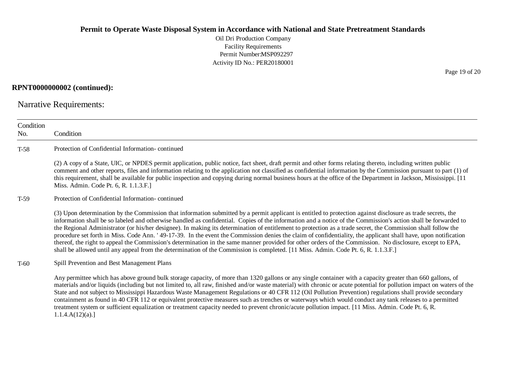Oil Dri Production Company Facility Requirements Permit Number:MSP092297 Activity ID No.: PER20180001

## **RPNT0000000002 (continued):**

Narrative Requirements:

| Condition |                                                                                                                                                                                                                                                                                                                                                                                                                                                                                                                                                                                                                                                                                                                                                                                                                                                                                                                                                                      |  |  |  |  |  |
|-----------|----------------------------------------------------------------------------------------------------------------------------------------------------------------------------------------------------------------------------------------------------------------------------------------------------------------------------------------------------------------------------------------------------------------------------------------------------------------------------------------------------------------------------------------------------------------------------------------------------------------------------------------------------------------------------------------------------------------------------------------------------------------------------------------------------------------------------------------------------------------------------------------------------------------------------------------------------------------------|--|--|--|--|--|
| No.       | Condition                                                                                                                                                                                                                                                                                                                                                                                                                                                                                                                                                                                                                                                                                                                                                                                                                                                                                                                                                            |  |  |  |  |  |
| $T-58$    | Protection of Confidential Information-continued                                                                                                                                                                                                                                                                                                                                                                                                                                                                                                                                                                                                                                                                                                                                                                                                                                                                                                                     |  |  |  |  |  |
|           | (2) A copy of a State, UIC, or NPDES permit application, public notice, fact sheet, draft permit and other forms relating thereto, including written public<br>comment and other reports, files and information relating to the application not classified as confidential information by the Commission pursuant to part (1) of<br>this requirement, shall be available for public inspection and copying during normal business hours at the office of the Department in Jackson, Mississippi. [11]<br>Miss. Admin. Code Pt. 6, R. 1.1.3.F.]                                                                                                                                                                                                                                                                                                                                                                                                                       |  |  |  |  |  |
| $T-59$    | Protection of Confidential Information-continued                                                                                                                                                                                                                                                                                                                                                                                                                                                                                                                                                                                                                                                                                                                                                                                                                                                                                                                     |  |  |  |  |  |
|           | (3) Upon determination by the Commission that information submitted by a permit applicant is entitled to protection against disclosure as trade secrets, the<br>information shall be so labeled and otherwise handled as confidential. Copies of the information and a notice of the Commission's action shall be forwarded to<br>the Regional Administrator (or his/her designee). In making its determination of entitlement to protection as a trade secret, the Commission shall follow the<br>procedure set forth in Miss. Code Ann. '49-17-39. In the event the Commission denies the claim of confidentiality, the applicant shall have, upon notification<br>thereof, the right to appeal the Commission's determination in the same manner provided for other orders of the Commission. No disclosure, except to EPA,<br>shall be allowed until any appeal from the determination of the Commission is completed. [11 Miss. Admin. Code Pt. 6, R. 1.1.3.F.] |  |  |  |  |  |
| $T-60$    | Spill Prevention and Best Management Plans                                                                                                                                                                                                                                                                                                                                                                                                                                                                                                                                                                                                                                                                                                                                                                                                                                                                                                                           |  |  |  |  |  |
|           | Any permittee which has above ground bulk storage capacity, of more than 1320 gallons or any single container with a capacity greater than 660 gallons, of<br>materials and/or liquids (including but not limited to, all raw, finished and/or waste material) with chronic or acute potential for pollution impact on waters of the<br>State and not subject to Mississippi Hazardous Waste Management Regulations or 40 CFR 112 (Oil Pollution Prevention) regulations shall provide secondary<br>containment as found in 40 CFR 112 or equivalent protective measures such as trenches or waterways which would conduct any tank releases to a permitted<br>treatment system or sufficient equalization or treatment capacity needed to prevent chronic/acute pollution impact. [11 Miss. Admin. Code Pt. 6, R.<br>1.1.4.A(12)(a).                                                                                                                                |  |  |  |  |  |

Page 19 of 20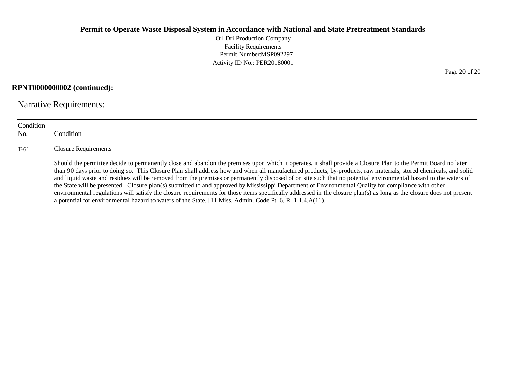Oil Dri Production Company Facility Requirements Permit Number:MSP092297 Activity ID No.: PER20180001

### **RPNT0000000002 (continued):**

Narrative Requirements:

| Condition<br>No. | Condition                                                                                                                                                                                                                                                                                                                                                                                                                                                                                                                                                                                                                                                                                                                                                                                                                                                                                                                                          |
|------------------|----------------------------------------------------------------------------------------------------------------------------------------------------------------------------------------------------------------------------------------------------------------------------------------------------------------------------------------------------------------------------------------------------------------------------------------------------------------------------------------------------------------------------------------------------------------------------------------------------------------------------------------------------------------------------------------------------------------------------------------------------------------------------------------------------------------------------------------------------------------------------------------------------------------------------------------------------|
| $T-61$           | Closure Requirements                                                                                                                                                                                                                                                                                                                                                                                                                                                                                                                                                                                                                                                                                                                                                                                                                                                                                                                               |
|                  | Should the permittee decide to permanently close and abandon the premises upon which it operates, it shall provide a Closure Plan to the Permit Board no later<br>than 90 days prior to doing so. This Closure Plan shall address how and when all manufactured products, by-products, raw materials, stored chemicals, and solid<br>and liquid waste and residues will be removed from the premises or permanently disposed of on site such that no potential environmental hazard to the waters of<br>the State will be presented. Closure plan(s) submitted to and approved by Mississippi Department of Environmental Quality for compliance with other<br>environmental regulations will satisfy the closure requirements for those items specifically addressed in the closure plan(s) as long as the closure does not present<br>a potential for environmental hazard to waters of the State. [11 Miss. Admin. Code Pt. 6, R. 1.1.4.A(11).] |

Page 20 of 20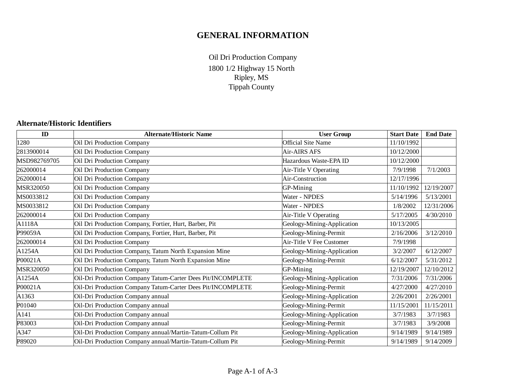# **GENERAL INFORMATION**

1800 1/2 Highway 15 North Ripley, MS Tippah County Oil Dri Production Company

## **Alternate/Historic Identifiers**

| ID           | <b>Alternate/Historic Name</b>                              | <b>User Group</b>          | <b>Start Date</b> | <b>End Date</b> |
|--------------|-------------------------------------------------------------|----------------------------|-------------------|-----------------|
| 1280         | Oil Dri Production Company                                  | <b>Official Site Name</b>  | 11/10/1992        |                 |
| 2813900014   | Oil Dri Production Company                                  | Air-AIRS AFS               | 10/12/2000        |                 |
| MSD982769705 | Oil Dri Production Company                                  | Hazardous Waste-EPA ID     | 10/12/2000        |                 |
| 262000014    | Oil Dri Production Company                                  | Air-Title V Operating      | 7/9/1998          | 7/1/2003        |
| 262000014    | Oil Dri Production Company                                  | Air-Construction           | 12/17/1996        |                 |
| MSR320050    | Oil Dri Production Company                                  | GP-Mining                  | 11/10/1992        | 12/19/2007      |
| MS0033812    | Oil Dri Production Company                                  | Water - NPDES              | 5/14/1996         | 5/13/2001       |
| MS0033812    | Oil Dri Production Company                                  | Water - NPDES              | 1/8/2002          | 12/31/2006      |
| 262000014    | Oil Dri Production Company                                  | Air-Title V Operating      | 5/17/2005         | 4/30/2010       |
| A1118A       | Oil Dri Production Company, Fortier, Hurt, Barber, Pit      | Geology-Mining-Application | 10/13/2005        |                 |
| P99059A      | Oil Dri Production Company, Fortier, Hurt, Barber, Pit      | Geology-Mining-Permit      | 2/16/2006         | 3/12/2010       |
| 262000014    | Oil Dri Production Company                                  | Air-Title V Fee Customer   | 7/9/1998          |                 |
| A1254A       | Oil Dri Production Company, Tatum North Expansion Mine      | Geology-Mining-Application | 3/2/2007          | 6/12/2007       |
| P00021A      | Oil Dri Production Company, Tatum North Expansion Mine      | Geology-Mining-Permit      | 6/12/2007         | 5/31/2012       |
| MSR320050    | Oil Dri Production Company                                  | GP-Mining                  | 12/19/2007        | 12/10/2012      |
| A1254A       | Oil-Dri Production Company Tatum-Carter Dees Pit/INCOMPLETE | Geology-Mining-Application | 7/31/2006         | 7/31/2006       |
| P00021A      | Oil-Dri Production Company Tatum-Carter Dees Pit/INCOMPLETE | Geology-Mining-Permit      | 4/27/2000         | 4/27/2010       |
| A1363        | Oil-Dri Production Company annual                           | Geology-Mining-Application | 2/26/2001         | 2/26/2001       |
| P01040       | Oil-Dri Production Company annual                           | Geology-Mining-Permit      | 11/15/2001        | 11/15/2011      |
| A141         | Oil-Dri Production Company annual                           | Geology-Mining-Application | 3/7/1983          | 3/7/1983        |
| P83003       | Oil-Dri Production Company annual                           | Geology-Mining-Permit      | 3/7/1983          | 3/9/2008        |
| A347         | Oil-Dri Production Company annual/Martin-Tatum-Collum Pit   | Geology-Mining-Application | 9/14/1989         | 9/14/1989       |
| P89020       | Oil-Dri Production Company annual/Martin-Tatum-Collum Pit   | Geology-Mining-Permit      | 9/14/1989         | 9/14/2009       |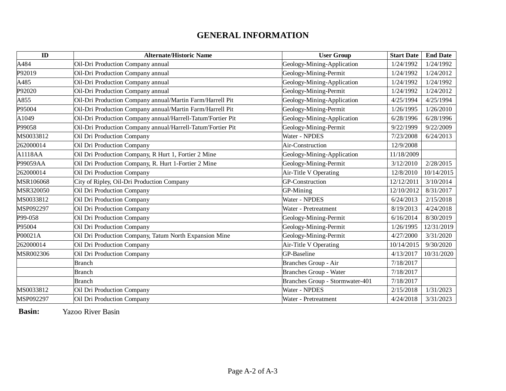# **GENERAL INFORMATION**

| ID        | <b>Alternate/Historic Name</b>                              | <b>User Group</b>               | <b>Start Date</b> | <b>End Date</b> |
|-----------|-------------------------------------------------------------|---------------------------------|-------------------|-----------------|
| A484      | Oil-Dri Production Company annual                           | Geology-Mining-Application      | 1/24/1992         | 1/24/1992       |
| P92019    | Oil-Dri Production Company annual                           | Geology-Mining-Permit           | 1/24/1992         | 1/24/2012       |
| A485      | Oil-Dri Production Company annual                           | Geology-Mining-Application      | 1/24/1992         | 1/24/1992       |
| P92020    | Oil-Dri Production Company annual                           | Geology-Mining-Permit           | 1/24/1992         | 1/24/2012       |
| A855      | Oil-Dri Production Company annual/Martin Farm/Harrell Pit   | Geology-Mining-Application      | 4/25/1994         | 4/25/1994       |
| P95004    | Oil-Dri Production Company annual/Martin Farm/Harrell Pit   | Geology-Mining-Permit           | 1/26/1995         | 1/26/2010       |
| A1049     | Oil-Dri Production Company annual/Harrell-Tatum'Fortier Pit | Geology-Mining-Application      | 6/28/1996         | 6/28/1996       |
| P99058    | Oil-Dri Production Company annual/Harrell-Tatum'Fortier Pit | Geology-Mining-Permit           | 9/22/1999         | 9/22/2009       |
| MS0033812 | Oil Dri Production Company                                  | Water - NPDES                   | 7/23/2008         | 6/24/2013       |
| 262000014 | Oil Dri Production Company                                  | Air-Construction                | 12/9/2008         |                 |
| A1118AA   | Oil Dri Production Company, R Hurt 1, Fortier 2 Mine        | Geology-Mining-Application      | 11/18/2009        |                 |
| P99059AA  | Oil Dri Production Company, R. Hurt 1-Fortier 2 Mine        | Geology-Mining-Permit           | 3/12/2010         | 2/28/2015       |
| 262000014 | Oil Dri Production Company                                  | Air-Title V Operating           | 12/8/2010         | 10/14/2015      |
| MSR106068 | City of Ripley, Oil-Dri Production Company                  | <b>GP-Construction</b>          | 12/12/2011        | 3/10/2014       |
| MSR320050 | Oil Dri Production Company                                  | GP-Mining                       | 12/10/2012        | 8/31/2017       |
| MS0033812 | Oil Dri Production Company                                  | Water - NPDES                   | 6/24/2013         | 2/15/2018       |
| MSP092297 | Oil Dri Production Company                                  | Water - Pretreatment            | 8/19/2013         | 4/24/2018       |
| P99-058   | Oil Dri Production Company                                  | Geology-Mining-Permit           | 6/16/2014         | 8/30/2019       |
| P95004    | Oil Dri Production Company                                  | Geology-Mining-Permit           | 1/26/1995         | 12/31/2019      |
| P00021A   | Oil Dri Production Company, Tatum North Expansion Mine      | Geology-Mining-Permit           | 4/27/2000         | 3/31/2020       |
| 262000014 | Oil Dri Production Company                                  | Air-Title V Operating           | 10/14/2015        | 9/30/2020       |
| MSR002306 | Oil Dri Production Company                                  | GP-Baseline                     | 4/13/2017         | 10/31/2020      |
|           | <b>Branch</b>                                               | Branches Group - Air            | 7/18/2017         |                 |
|           | <b>Branch</b>                                               | <b>Branches Group - Water</b>   | 7/18/2017         |                 |
|           | <b>Branch</b>                                               | Branches Group - Stormwater-401 | 7/18/2017         |                 |
| MS0033812 | Oil Dri Production Company                                  | Water - NPDES                   | 2/15/2018         | 1/31/2023       |
| MSP092297 | Oil Dri Production Company                                  | Water - Pretreatment            | 4/24/2018         | 3/31/2023       |

**Basin:** Yazoo River Basin